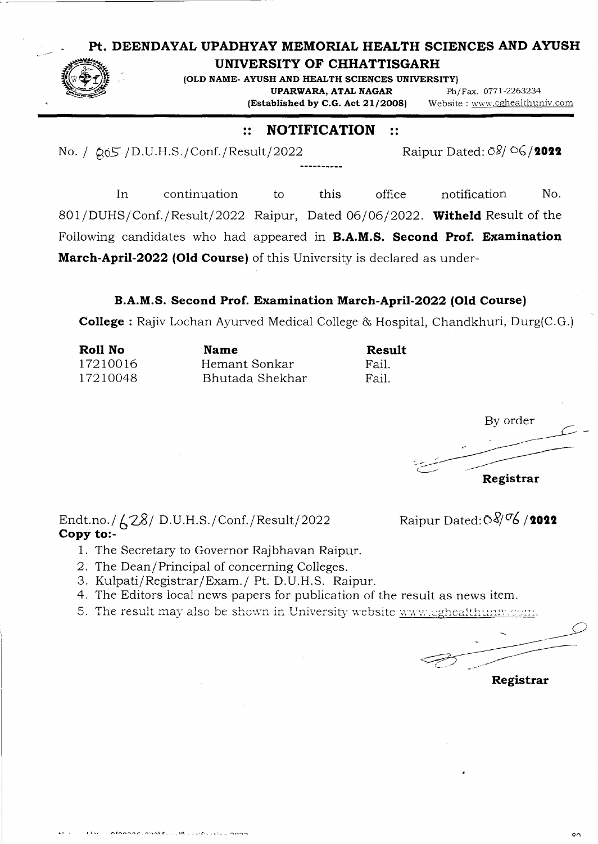## **Pt. DEENDAYAL UPADHYAY MEMORIAL HEALTH SCIENCES AND AYUSH**



## **UNIVERSITY OF CHHATTISGARH**

**(OLD NAME- AYUSH AND HEALTH SCIENCES UNNERSITY) UPARWARA, ATAL NAGAR** Ph/Fax. 0771-2263234

**(Established by C.G. Act 21/2008)** Website : www.cghealihuniv.com

## :: **NOTIFICATION** ::

No. /  $\alpha_0$ 5 /D.U.H.S./Conf./Result/2022 Raipur Dated: 08/  $\alpha$  /2022

In continuation to this office notification No. 801/DUHS/Conf./Result/2022 Raipur, Dated 06/06/2022. **Witheld** Result of the Following candidates who had appeared in **B.A.M.S. Second Prof. Examination March-April-2022 (Old Course)** of this University is declared as under-

## **B.A.M.S. Second Prof. Examination March-April-2022 (Old Course)**

**College** : Rajiv Lochan Ayurved Medical College & Hospital, Chandkhuri, Durg(C.G.)

| Roll No  | <b>Name</b>     | <b>Result</b> |  |  |
|----------|-----------------|---------------|--|--|
| 17210016 | Hemant Sonkar   | -Fail.        |  |  |
| 17210048 | Bhutada Shekhar | Fail.         |  |  |

By order **Registrar** 

Endt.no./ $\angle$  28/ D.U.H.S./Conf./Result/2022 Raipur Dated:  $\frac{8}{9}$  6/2022 **Copy to:**-

- 1. The Secretary to Governor Rajbhavan Raipur.
- 2. The Dean/Principal of concerning Colleges.
- 3. Kulpati/Registrar/Exam./ Pt. D.U.H.S. Raipur.
- 4. The Editors local news papers for publication of the result as news item.
- 5. The result may also be shown in University website www.cghealthunw.com.

**Registrar**